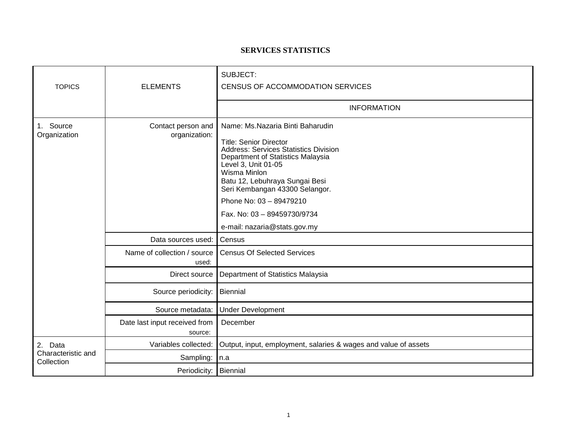## **SERVICES STATISTICS**

| <b>TOPICS</b>                               | <b>ELEMENTS</b>                          | SUBJECT:<br>CENSUS OF ACCOMMODATION SERVICES                                                                                                                                                                                                                                                                                                                |
|---------------------------------------------|------------------------------------------|-------------------------------------------------------------------------------------------------------------------------------------------------------------------------------------------------------------------------------------------------------------------------------------------------------------------------------------------------------------|
|                                             |                                          | <b>INFORMATION</b>                                                                                                                                                                                                                                                                                                                                          |
| 1. Source<br>Organization                   | Contact person and<br>organization:      | Name: Ms.Nazaria Binti Baharudin<br><b>Title: Senior Director</b><br><b>Address: Services Statistics Division</b><br>Department of Statistics Malaysia<br>Level 3, Unit 01-05<br>Wisma Minlon<br>Batu 12, Lebuhraya Sungai Besi<br>Seri Kembangan 43300 Selangor.<br>Phone No: 03 - 89479210<br>Fax. No: 03 - 89459730/9734<br>e-mail: nazaria@stats.gov.my |
|                                             | Data sources used:                       | Census                                                                                                                                                                                                                                                                                                                                                      |
|                                             | Name of collection / source<br>used:     | <b>Census Of Selected Services</b>                                                                                                                                                                                                                                                                                                                          |
|                                             | Direct source                            | Department of Statistics Malaysia                                                                                                                                                                                                                                                                                                                           |
|                                             | Source periodicity:                      | Biennial                                                                                                                                                                                                                                                                                                                                                    |
|                                             | Source metadata:                         | <b>Under Development</b>                                                                                                                                                                                                                                                                                                                                    |
|                                             | Date last input received from<br>source: | December                                                                                                                                                                                                                                                                                                                                                    |
| 2. Data<br>Characteristic and<br>Collection | Variables collected:                     | Output, input, employment, salaries & wages and value of assets                                                                                                                                                                                                                                                                                             |
|                                             | Sampling:                                | $\ln a$                                                                                                                                                                                                                                                                                                                                                     |
|                                             | Periodicity:   Biennial                  |                                                                                                                                                                                                                                                                                                                                                             |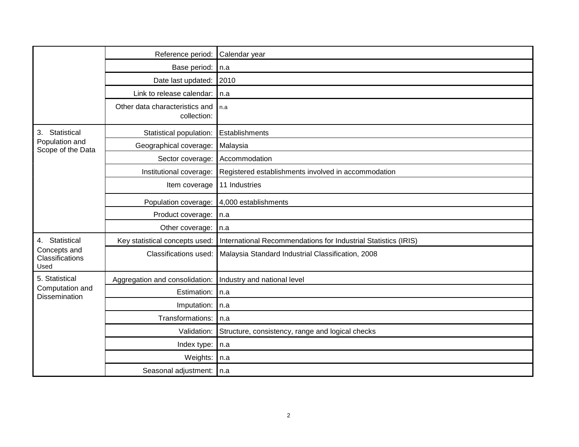|                                                           | Reference period:                             | Calendar year                                                  |
|-----------------------------------------------------------|-----------------------------------------------|----------------------------------------------------------------|
|                                                           | Base period:                                  | n.a                                                            |
|                                                           | Date last updated:                            | 2010                                                           |
|                                                           | Link to release calendar:                     | n.a                                                            |
|                                                           | Other data characteristics and<br>collection: | n.a                                                            |
| 3.<br>Statistical<br>Population and<br>Scope of the Data  | Statistical population:                       | Establishments                                                 |
|                                                           | Geographical coverage:                        | Malaysia                                                       |
|                                                           | Sector coverage:                              | Accommodation                                                  |
|                                                           | Institutional coverage:                       | Registered establishments involved in accommodation            |
|                                                           | Item coverage                                 | 11 Industries                                                  |
|                                                           |                                               | Population coverage: 4,000 establishments                      |
|                                                           | Product coverage:                             | In.a                                                           |
|                                                           | Other coverage:                               | n.a                                                            |
| 4. Statistical                                            | Key statistical concepts used:                | International Recommendations for Industrial Statistics (IRIS) |
| Concepts and<br>Classifications<br>Used                   | Classifications used:                         | Malaysia Standard Industrial Classification, 2008              |
| 5. Statistical<br>Computation and<br><b>Dissemination</b> | Aggregation and consolidation:                | Industry and national level                                    |
|                                                           | Estimation:                                   | n.a                                                            |
|                                                           | Imputation:                                   | n.a                                                            |
|                                                           | Transformations:                              | n.a                                                            |
|                                                           | Validation:                                   | Structure, consistency, range and logical checks               |
|                                                           | Index type:                                   | n.a                                                            |
|                                                           | Weights:                                      | n.a                                                            |
|                                                           | Seasonal adjustment: n.a                      |                                                                |